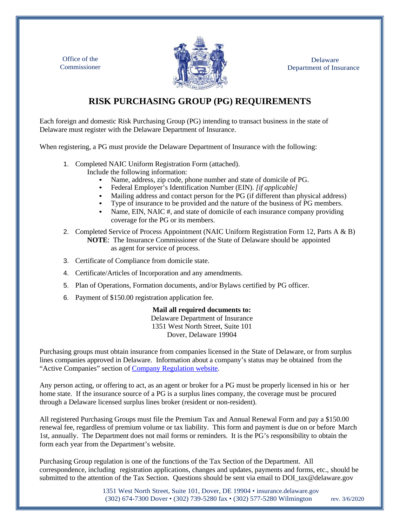Delaware Department of Insurance

Office of the Commissioner



## **RISK PURCHASING GROUP (PG) REQUIREMENTS**

Each foreign and domestic Risk Purchasing Group (PG) intending to transact business in the state of Delaware must register with the Delaware Department of Insurance.

When registering, a PG must provide the Delaware Department of Insurance with the following:

- 1. Completed NAIC Uniform Registration Form (attached).
	- Include the following information:
		- Name, address, zip code, phone number and state of domicile of PG.
		- Federal Employer's Identification Number (EIN). *[if applicable]*
		- Mailing address and contact person for the PG (if different than physical address)
		- Type of insurance to be provided and the nature of the business of PG members.
		- Name, EIN, NAIC #, and state of domicile of each insurance company providing coverage for the PG or its members.
- 2. Completed Service of Process Appointment (NAIC Uniform Registration Form 12, Parts A & B) **NOTE**: The Insurance Commissioner of the State of Delaware should be appointed as agent for service of process.
- 3. Certificate of Compliance from domicile state.
- 4. Certificate/Articles of Incorporation and any amendments.
- 5. Plan of Operations, Formation documents, and/or Bylaws certified by PG officer.
- 6. Payment of \$150.00 registration application fee.

## **Mail all required documents to:**

Delaware Department of Insurance 1351 West North Street, Suite 101 Dover, Delaware 19904

Purchasing groups must obtain insurance from companies licensed in the State of Delaware, or from surplus lines companies approved in Delaware. Information about a company's status may be obtained from the "Active Companies" section of [Company Regulation](https://insurance.delaware.gov/divisions/berg/authorizedcompanies/) website.

Any person acting, or offering to act, as an agent or broker for a PG must be properly licensed in his or her home state. If the insurance source of a PG is a surplus lines company, the coverage must be procured through a Delaware licensed surplus lines broker (resident or non-resident).

All registered Purchasing Groups must file the Premium Tax and Annual Renewal Form and pay a \$150.00 renewal fee, regardless of premium volume or tax liability. This form and payment is due on or before March 1st, annually. The Department does not mail forms or reminders. It is the PG's responsibility to obtain the form each year from the Department's website.

Purchasing Group regulation is one of the functions of the Tax Section of the Department. All correspondence, including registration applications, changes and updates, payments and forms, etc., should be submitted to the attention of the Tax Section. Questions should be sent via email to DOI tax@delaware.gov

> 1351 West North Street, Suite 101, Dover, DE 19904 • [insurance.delaware.gov](http://www.insurance.delaware.gov/) (302) 674-7300 Dover • (302) 739-5280 fax • (302) 577-5280 Wilmington rev. 3/6/2020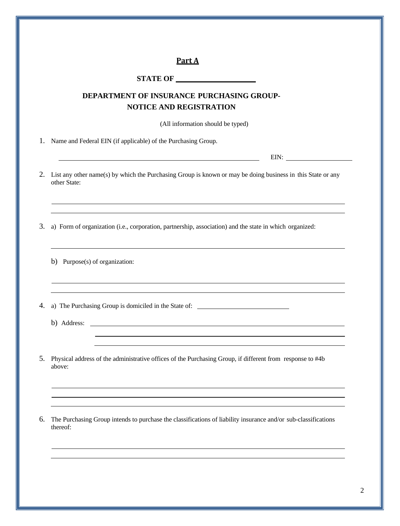|    | Part A                                                                                                                                                                                                                        |
|----|-------------------------------------------------------------------------------------------------------------------------------------------------------------------------------------------------------------------------------|
|    |                                                                                                                                                                                                                               |
|    | DEPARTMENT OF INSURANCE PURCHASING GROUP-<br><b>NOTICE AND REGISTRATION</b>                                                                                                                                                   |
|    | (All information should be typed)                                                                                                                                                                                             |
|    | Name and Federal EIN (if applicable) of the Purchasing Group.                                                                                                                                                                 |
|    |                                                                                                                                                                                                                               |
|    | List any other name(s) by which the Purchasing Group is known or may be doing business in this State or any<br>other State:                                                                                                   |
|    | ,我们也不会有什么。""我们的人,我们也不会有什么?""我们的人,我们也不会有什么?""我们的人,我们也不会有什么?""我们的人,我们也不会有什么?""我们的人<br>a) Form of organization (i.e., corporation, partnership, association) and the state in which organized:                                   |
|    | b) Purpose(s) of organization:                                                                                                                                                                                                |
|    | ,我们也不能在这里的时候,我们也不能在这里的时候,我们也不能会在这里的时候,我们也不能会在这里的时候,我们也不能会在这里的时候,我们也不能会在这里的时候,我们也                                                                                                                                              |
|    | b) Address:                                                                                                                                                                                                                   |
|    |                                                                                                                                                                                                                               |
|    | the control of the control of the control of the control of the control of the control of the control of the control of the control of the control of the control of the control of the control of the control of the control |
| 5. | Physical address of the administrative offices of the Purchasing Group, if different from response to #4b<br>above:                                                                                                           |
|    | ,我们也不能在这里的时候,我们也不能会在这里,我们也不能会在这里,我们也不能会在这里,我们也不能会在这里的时候,我们也不能会在这里,我们也不能会不能会不能会不能                                                                                                                                              |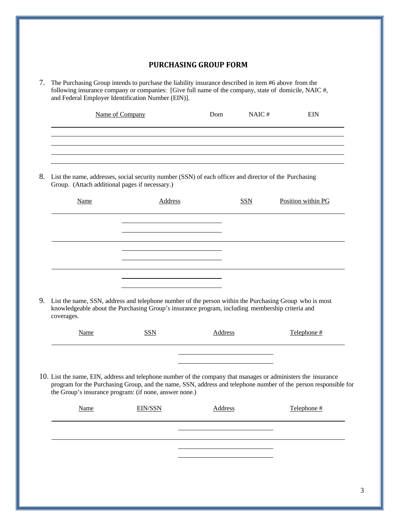## **PURCHASING GROUP FORM**

| 7. The Purchasing Group intends to purchase the liability insurance described in item #6 above from the |
|---------------------------------------------------------------------------------------------------------|
| following insurance company or companies: [Give full name of the company, state of domicile, NAIC #,    |
| and Federal Employer Identification Number (EIN).                                                       |

| Name of Company | Dom | NAIC# | <b>EIN</b> |
|-----------------|-----|-------|------------|
|                 |     |       |            |
|                 |     |       |            |
|                 |     |       |            |
|                 |     |       |            |
|                 |     |       |            |

8. List the name, addresses, social security number (SSN) of each officer and director of the Purchasing Group. (Attach additional pages if necessary.)

| Name       | Address                                                                                                                                                                                                      | <b>SSN</b> | Position within PG |
|------------|--------------------------------------------------------------------------------------------------------------------------------------------------------------------------------------------------------------|------------|--------------------|
|            |                                                                                                                                                                                                              |            |                    |
|            |                                                                                                                                                                                                              |            |                    |
|            |                                                                                                                                                                                                              |            |                    |
| coverages. | 9. List the name, SSN, address and telephone number of the person within the Purchasing Group who is most<br>knowledgeable about the Purchasing Group's insurance program, including membership criteria and |            |                    |

| <b>Name</b> | <b>DO</b> T | Address | Telephone # |
|-------------|-------------|---------|-------------|
|             |             |         |             |

 $\overline{\phantom{a}}$ 

10. List the name, EIN, address and telephone number of the company that manages or administers the insurance program for the Purchasing Group, and the name, SSN, address and telephone number of the person responsible for the Group's insurance program: (if none, answer none.)

| Name | <b>EIN/SSN</b> | <b>Address</b> | Telephone # |
|------|----------------|----------------|-------------|
|      |                |                |             |
|      |                |                |             |
|      |                |                |             |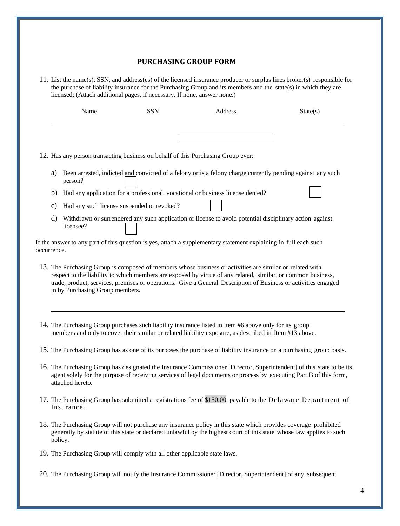## **PURCHASING GROUP FORM**

11. List the name(s), SSN, and address(es) of the licensed insurance producer or surplus lines broker(s) responsible for the purchase of liability insurance for the Purchasing Group and its members and the state(s) in which they are licensed: (Attach additional pages, if necessary. If none, answer none.)

|    | Name                                       | SSN | Address                                                                                                    | State(s) |
|----|--------------------------------------------|-----|------------------------------------------------------------------------------------------------------------|----------|
|    |                                            |     |                                                                                                            |          |
|    |                                            |     | 12. Has any person transacting business on behalf of this Purchasing Group ever:                           |          |
| a) | person?                                    |     | Been arrested, indicted and convicted of a felony or is a felony charge currently pending against any such |          |
| b) |                                            |     | Had any application for a professional, vocational or business license denied?                             |          |
| C) | Had any such license suspended or revoked? |     |                                                                                                            |          |
| d) | licensee?                                  |     | Withdrawn or surrendered any such application or license to avoid potential disciplinary action against    |          |

If the answer to any part of this question is yes, attach a supplementary statement explaining in full each such occurrence.

- 13. The Purchasing Group is composed of members whose business or activities are similar or related with respect to the liability to which members are exposed by virtue of any related, similar, or common business, trade, product, services, premises or operations. Give a General Description of Business or activities engaged in by Purchasing Group members.
- 14. The Purchasing Group purchases such liability insurance listed in Item #6 above only for its group members and only to cover their similar or related liability exposure, as described in Item #13 above.
- 15. The Purchasing Group has as one of its purposes the purchase of liability insurance on a purchasing group basis.
- 16. The Purchasing Group has designated the Insurance Commissioner [Director, Superintendent] of this state to be its agent solely for the purpose of receiving services of legal documents or process by executing Part B of this form, attached hereto.
- 17. The Purchasing Group has submitted a registrations fee of \$150.00, payable to the Delaware Department of Insurance.
- 18. The Purchasing Group will not purchase any insurance policy in this state which provides coverage prohibited generally by statute of this state or declared unlawful by the highest court of this state whose law applies to such policy.
- 19. The Purchasing Group will comply with all other applicable state laws.

20. The Purchasing Group will notify the Insurance Commissioner [Director, Superintendent] of any subsequent